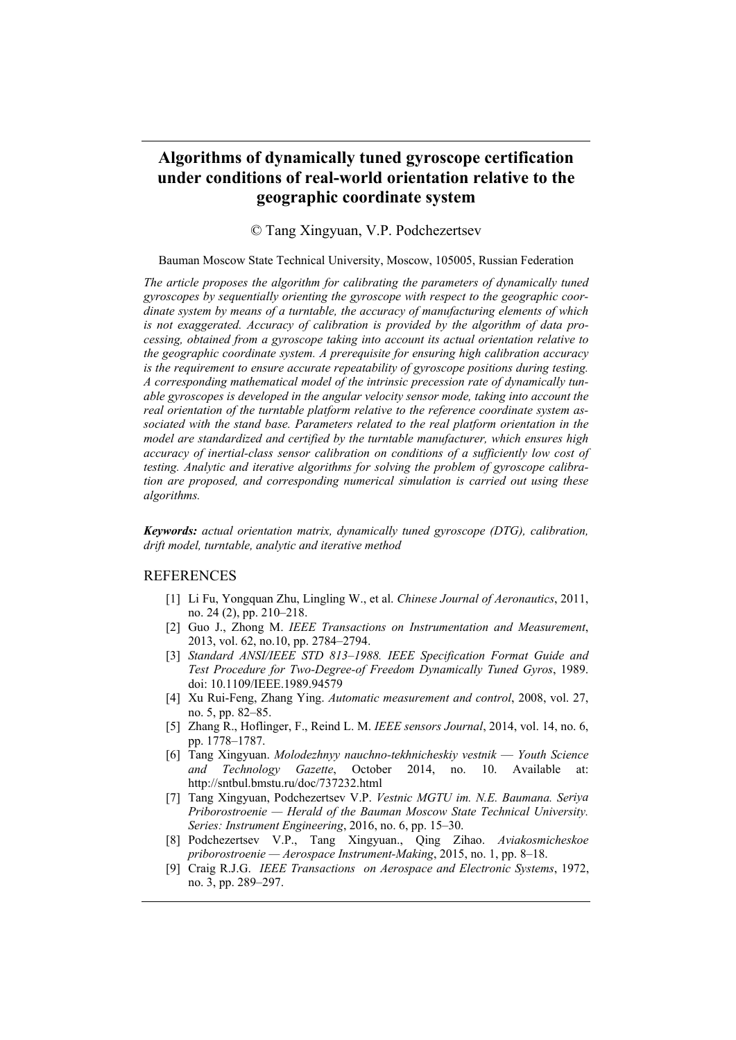## **Algorithms of dynamically tuned gyroscope certification under conditions of real-world orientation relative to the geographic coordinate system**

© Tang Xingyuan, V.P. Podchezertsev

## Bauman Moscow State Technical University, Moscow, 105005, Russian Federation

*The article proposes the algorithm for calibrating the parameters of dynamically tuned gyroscopes by sequentially orienting the gyroscope with respect to the geographic coordinate system by means of a turntable, the accuracy of manufacturing elements of which is not exaggerated. Accuracy of calibration is provided by the algorithm of data processing, obtained from a gyroscope taking into account its actual orientation relative to the geographic coordinate system. A prerequisite for ensuring high calibration accuracy is the requirement to ensure accurate repeatability of gyroscope positions during testing. A corresponding mathematical model of the intrinsic precession rate of dynamically tunable gyroscopes is developed in the angular velocity sensor mode, taking into account the real orientation of the turntable platform relative to the reference coordinate system associated with the stand base. Parameters related to the real platform orientation in the model are standardized and certified by the turntable manufacturer, which ensures high accuracy of inertial-class sensor calibration on conditions of a sufficiently low cost of testing. Analytic and iterative algorithms for solving the problem of gyroscope calibration are proposed, and corresponding numerical simulation is carried out using these algorithms.* 

*Keywords: actual orientation matrix, dynamically tuned gyroscope (DTG), calibration, drift model, turntable, analytic and iterative method*

## REFERENCES

- [1] Li Fu, Yongquan Zhu, Lingling W., et al. *Chinese Journal of Aeronautics*, 2011, no. 24 (2), pp. 210–218.
- [2] Guo J., Zhong M. *IEEE Transactions on Instrumentation and Measurement*, 2013, vol. 62, no.10, pp. 2784–2794.
- [3] *Standard ANSI/IEEE STD 813–1988. IEEE Specification Format Guide and Test Procedure for Two-Degree-of Freedom Dynamically Tuned Gyros*, 1989. doi: 10.1109/IEEE.1989.94579
- [4] Xu Rui-Feng, Zhang Ying. *Automatic measurement and control*, 2008, vol. 27, no. 5, pp. 82–85.
- [5] Zhang R., Hoflinger, F., Reind L. M. *IEEE sensors Journal*, 2014, vol. 14, no. 6, pp. 1778–1787.
- [6] Tang Xingyuan. *Molodezhnyy nauchno-tekhnicheskiy vestnik Youth Science and Technology Gazette*, October 2014, no. 10. Available at: http://sntbul.bmstu.ru/doc/737232.html
- [7] Tang Xingyuan, Podchezertsev V.P. *Vestnic MGTU im. N.E. Baumana. Seriya Priborostroenie — Herald of the Bauman Moscow State Technical University. Series: Instrument Engineering*, 2016, no. 6, pp. 15–30.
- [8] Podchezertsev V.P., Tang Xingyuan., Qing Zihao. *Aviakosmicheskoe priborostroenie — Aerospace Instrument-Making*, 2015, no. 1, pp. 8–18.
- [9] Craig R.J.G. *IEEE Transactions on Aerospace and Electronic Systems*, 1972, no. 3, pp. 289–297.